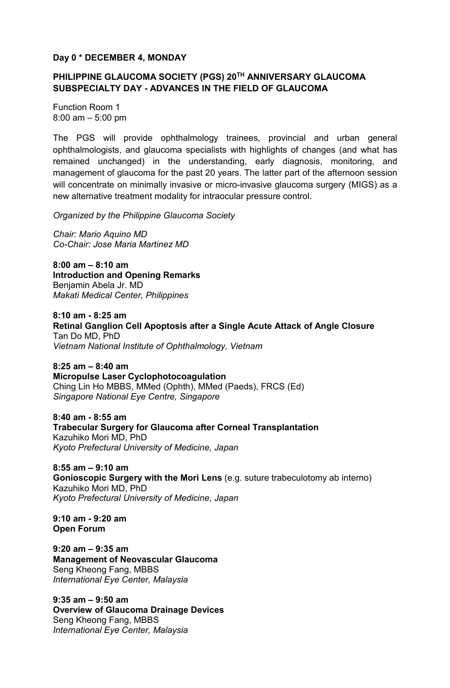## **Day 0 \* DECEMBER 4, MONDAY**

# **PHILIPPINE GLAUCOMA SOCIETY (PGS) 20TH ANNIVERSARY GLAUCOMA SUBSPECIALTY DAY - ADVANCES IN THE FIELD OF GLAUCOMA**

Function Room 1 8:00 am – 5:00 pm

The PGS will provide ophthalmology trainees, provincial and urban general ophthalmologists, and glaucoma specialists with highlights of changes (and what has remained unchanged) in the understanding, early diagnosis, monitoring, and management of glaucoma for the past 20 years. The latter part of the afternoon session will concentrate on minimally invasive or micro-invasive glaucoma surgery (MIGS) as a new alternative treatment modality for intraocular pressure control.

*Organized by the Philippine Glaucoma Society* 

*Chair: Mario Aquino MD Co-Chair: Jose Maria Martinez MD* 

**8:00 am – 8:10 am Introduction and Opening Remarks**  Benjamin Abela Jr. MD *Makati Medical Center, Philippines* 

**8:10 am - 8:25 am Retinal Ganglion Cell Apoptosis after a Single Acute Attack of Angle Closure**  Tan Do MD, PhD *Vietnam National Institute of Ophthalmology, Vietnam* 

**8:25 am – 8:40 am Micropulse Laser Cyclophotocoagulation**  Ching Lin Ho MBBS, MMed (Ophth), MMed (Paeds), FRCS (Ed) *Singapore National Eye Centre, Singapore* 

**8:40 am - 8:55 am Trabecular Surgery for Glaucoma after Corneal Transplantation**  Kazuhiko Mori MD, PhD *Kyoto Prefectural University of Medicine, Japan* 

**8:55 am – 9:10 am Gonioscopic Surgery with the Mori Lens** (e.g. suture trabeculotomy ab interno) Kazuhiko Mori MD, PhD *Kyoto Prefectural University of Medicine, Japan* 

**9:10 am - 9:20 am Open Forum** 

**9:20 am – 9:35 am Management of Neovascular Glaucoma**  Seng Kheong Fang, MBBS *International Eye Center, Malaysia*

**9:35 am – 9:50 am Overview of Glaucoma Drainage Devices**  Seng Kheong Fang, MBBS *International Eye Center, Malaysia*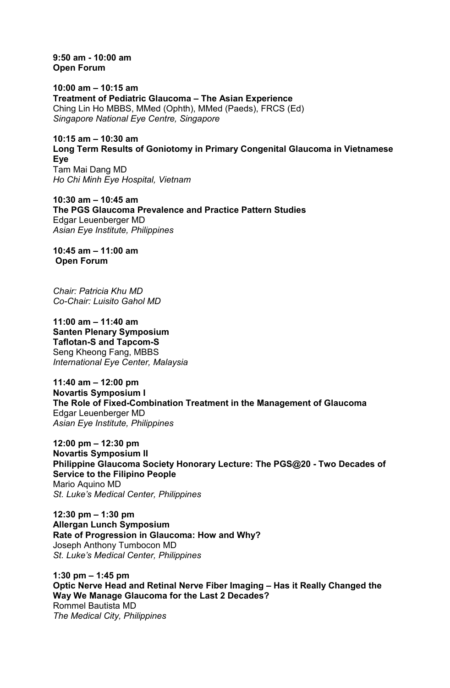**9:50 am - 10:00 am Open Forum** 

**10:00 am – 10:15 am Treatment of Pediatric Glaucoma – The Asian Experience**  Ching Lin Ho MBBS, MMed (Ophth), MMed (Paeds), FRCS (Ed) *Singapore National Eye Centre, Singapore* 

**10:15 am – 10:30 am Long Term Results of Goniotomy in Primary Congenital Glaucoma in Vietnamese Eye**  Tam Mai Dang MD *Ho Chi Minh Eye Hospital, Vietnam* 

**10:30 am – 10:45 am The PGS Glaucoma Prevalence and Practice Pattern Studies**  Edgar Leuenberger MD *Asian Eye Institute, Philippines* 

**10:45 am – 11:00 am Open Forum** 

*Chair: Patricia Khu MD Co-Chair: Luisito Gahol MD* 

**11:00 am – 11:40 am Santen Plenary Symposium Taflotan-S and Tapcom-S**  Seng Kheong Fang, MBBS *International Eye Center, Malaysia* 

**11:40 am – 12:00 pm Novartis Symposium I The Role of Fixed-Combination Treatment in the Management of Glaucoma**  Edgar Leuenberger MD *Asian Eye Institute, Philippines* 

**12:00 pm – 12:30 pm Novartis Symposium II Philippine Glaucoma Society Honorary Lecture: The PGS@20 - Two Decades of Service to the Filipino People**  Mario Aquino MD *St. Luke's Medical Center, Philippines* 

**12:30 pm – 1:30 pm Allergan Lunch Symposium Rate of Progression in Glaucoma: How and Why?**  Joseph Anthony Tumbocon MD *St. Luke's Medical Center, Philippines* 

**1:30 pm – 1:45 pm Optic Nerve Head and Retinal Nerve Fiber Imaging – Has it Really Changed the Way We Manage Glaucoma for the Last 2 Decades?**  Rommel Bautista MD *The Medical City, Philippines*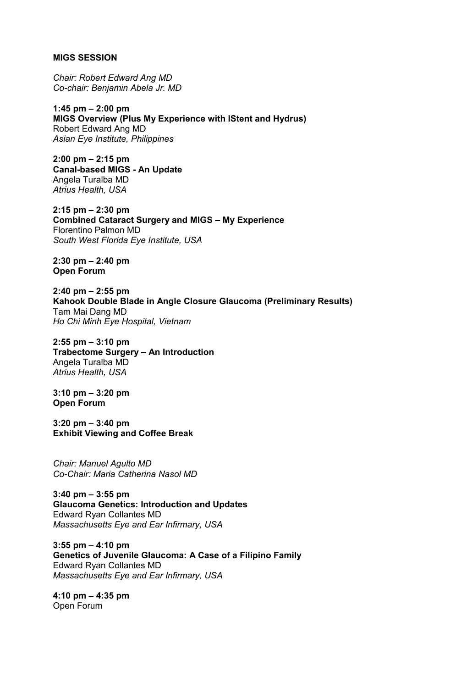#### **MIGS SESSION**

*Chair: Robert Edward Ang MD Co-chair: Benjamin Abela Jr. MD* 

**1:45 pm – 2:00 pm MIGS Overview (Plus My Experience with IStent and Hydrus)**  Robert Edward Ang MD *Asian Eye Institute, Philippines* 

**2:00 pm – 2:15 pm Canal-based MIGS - An Update**  Angela Turalba MD *Atrius Health, USA* 

**2:15 pm – 2:30 pm Combined Cataract Surgery and MIGS – My Experience**  Florentino Palmon MD *South West Florida Eye Institute, USA* 

**2:30 pm – 2:40 pm Open Forum** 

**2:40 pm – 2:55 pm Kahook Double Blade in Angle Closure Glaucoma (Preliminary Results)**  Tam Mai Dang MD *Ho Chi Minh Eye Hospital, Vietnam* 

**2:55 pm – 3:10 pm Trabectome Surgery – An Introduction**  Angela Turalba MD *Atrius Health, USA* 

**3:10 pm – 3:20 pm Open Forum** 

**3:20 pm – 3:40 pm Exhibit Viewing and Coffee Break** 

*Chair: Manuel Agulto MD Co-Chair: Maria Catherina Nasol MD*

**3:40 pm – 3:55 pm Glaucoma Genetics: Introduction and Updates**  Edward Ryan Collantes MD *Massachusetts Eye and Ear Infirmary, USA* 

**3:55 pm – 4:10 pm Genetics of Juvenile Glaucoma: A Case of a Filipino Family**  Edward Ryan Collantes MD *Massachusetts Eye and Ear Infirmary, USA* 

**4:10 pm – 4:35 pm**  Open Forum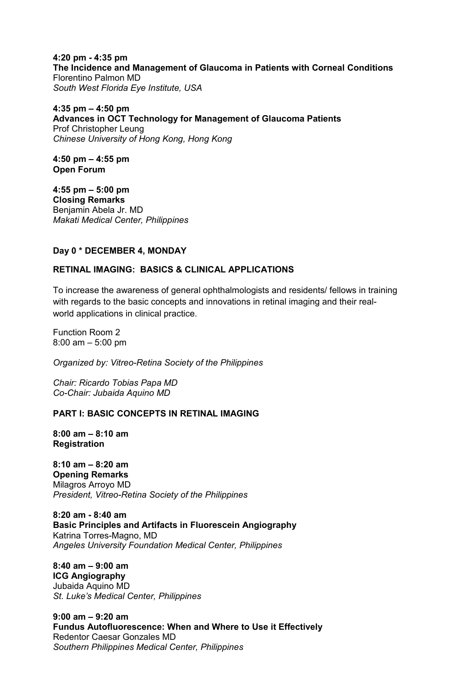**4:20 pm - 4:35 pm The Incidence and Management of Glaucoma in Patients with Corneal Conditions** Florentino Palmon MD *South West Florida Eye Institute, USA* 

**4:35 pm – 4:50 pm Advances in OCT Technology for Management of Glaucoma Patients**  Prof Christopher Leung *Chinese University of Hong Kong, Hong Kong* 

**4:50 pm – 4:55 pm Open Forum** 

**4:55 pm – 5:00 pm Closing Remarks**  Benjamin Abela Jr. MD *Makati Medical Center, Philippines*

## **Day 0 \* DECEMBER 4, MONDAY**

## **RETINAL IMAGING: BASICS & CLINICAL APPLICATIONS**

To increase the awareness of general ophthalmologists and residents/ fellows in training with regards to the basic concepts and innovations in retinal imaging and their realworld applications in clinical practice.

Function Room 2 8:00 am – 5:00 pm

*Organized by: Vitreo-Retina Society of the Philippines* 

*Chair: Ricardo Tobias Papa MD Co-Chair: Jubaida Aquino MD*

## **PART I: BASIC CONCEPTS IN RETINAL IMAGING**

**8:00 am – 8:10 am Registration** 

**8:10 am – 8:20 am Opening Remarks**  Milagros Arroyo MD *President, Vitreo-Retina Society of the Philippines* 

**8:20 am - 8:40 am Basic Principles and Artifacts in Fluorescein Angiography**  Katrina Torres-Magno, MD *Angeles University Foundation Medical Center, Philippines* 

**8:40 am – 9:00 am ICG Angiography**  Jubaida Aquino MD *St. Luke's Medical Center, Philippines* 

**9:00 am – 9:20 am Fundus Autofluorescence: When and Where to Use it Effectively**  Redentor Caesar Gonzales MD *Southern Philippines Medical Center, Philippines*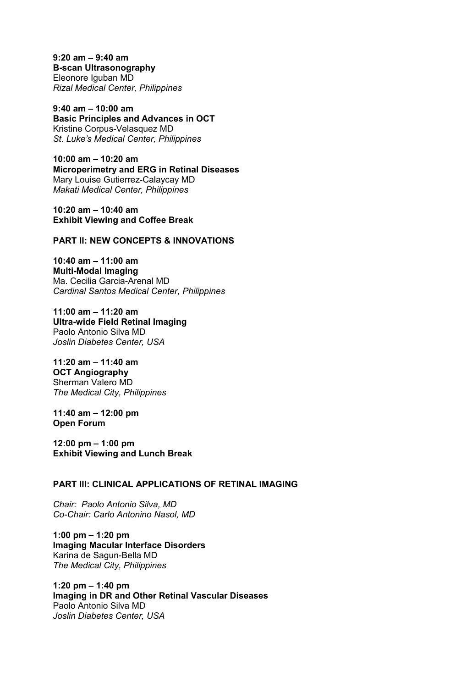**9:20 am – 9:40 am B-scan Ultrasonography**  Eleonore Iguban MD *Rizal Medical Center, Philippines* 

**9:40 am – 10:00 am Basic Principles and Advances in OCT**  Kristine Corpus-Velasquez MD *St. Luke's Medical Center, Philippines* 

**10:00 am – 10:20 am Microperimetry and ERG in Retinal Diseases**  Mary Louise Gutierrez-Calaycay MD *Makati Medical Center, Philippines* 

**10:20 am – 10:40 am Exhibit Viewing and Coffee Break** 

**PART II: NEW CONCEPTS & INNOVATIONS** 

**10:40 am – 11:00 am Multi-Modal Imaging**  Ma. Cecilia Garcia-Arenal MD *Cardinal Santos Medical Center, Philippines* 

**11:00 am – 11:20 am Ultra-wide Field Retinal Imaging**  Paolo Antonio Silva MD *Joslin Diabetes Center, USA* 

**11:20 am – 11:40 am OCT Angiography**  Sherman Valero MD *The Medical City, Philippines* 

**11:40 am – 12:00 pm Open Forum** 

**12:00 pm – 1:00 pm Exhibit Viewing and Lunch Break** 

# **PART III: CLINICAL APPLICATIONS OF RETINAL IMAGING**

*Chair: Paolo Antonio Silva, MD Co-Chair: Carlo Antonino Nasol, MD*

**1:00 pm – 1:20 pm Imaging Macular Interface Disorders**  Karina de Sagun-Bella MD *The Medical City, Philippines* 

**1:20 pm – 1:40 pm Imaging in DR and Other Retinal Vascular Diseases**  Paolo Antonio Silva MD *Joslin Diabetes Center, USA*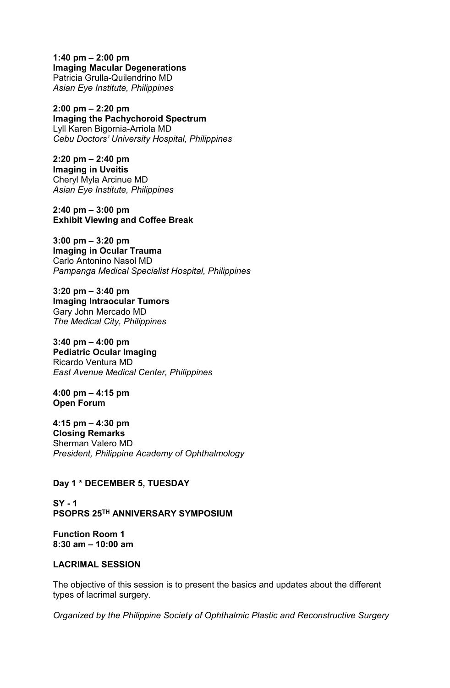**1:40 pm – 2:00 pm Imaging Macular Degenerations**  Patricia Grulla-Quilendrino MD *Asian Eye Institute, Philippines* 

**2:00 pm – 2:20 pm Imaging the Pachychoroid Spectrum**  Lyll Karen Bigornia-Arriola MD *Cebu Doctors' University Hospital, Philippines* 

**2:20 pm – 2:40 pm Imaging in Uveitis**  Cheryl Myla Arcinue MD *Asian Eye Institute, Philippines* 

**2:40 pm – 3:00 pm Exhibit Viewing and Coffee Break** 

**3:00 pm – 3:20 pm Imaging in Ocular Trauma**  Carlo Antonino Nasol MD *Pampanga Medical Specialist Hospital, Philippines* 

**3:20 pm – 3:40 pm Imaging Intraocular Tumors**  Gary John Mercado MD *The Medical City, Philippines* 

**3:40 pm – 4:00 pm Pediatric Ocular Imaging**  Ricardo Ventura MD *East Avenue Medical Center, Philippines* 

**4:00 pm – 4:15 pm Open Forum** 

**4:15 pm – 4:30 pm Closing Remarks**  Sherman Valero MD *President, Philippine Academy of Ophthalmology* 

## **Day 1 \* DECEMBER 5, TUESDAY**

**SY - 1 PSOPRS 25TH ANNIVERSARY SYMPOSIUM** 

**Function Room 1 8:30 am – 10:00 am** 

## **LACRIMAL SESSION**

The objective of this session is to present the basics and updates about the different types of lacrimal surgery.

*Organized by the Philippine Society of Ophthalmic Plastic and Reconstructive Surgery*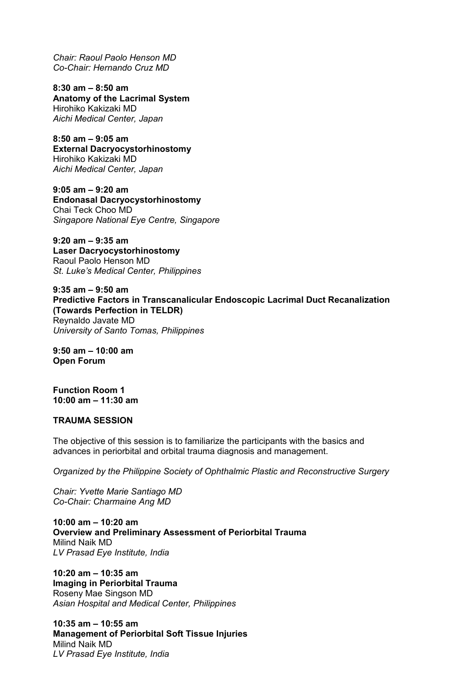*Chair: Raoul Paolo Henson MD Co-Chair: Hernando Cruz MD* 

**8:30 am – 8:50 am Anatomy of the Lacrimal System**  Hirohiko Kakizaki MD *Aichi Medical Center, Japan*

**8:50 am – 9:05 am External Dacryocystorhinostomy**  Hirohiko Kakizaki MD *Aichi Medical Center, Japan*

**9:05 am – 9:20 am Endonasal Dacryocystorhinostomy**  Chai Teck Choo MD *Singapore National Eye Centre, Singapore*

**9:20 am – 9:35 am Laser Dacryocystorhinostomy**  Raoul Paolo Henson MD *St. Luke's Medical Center, Philippines* 

**9:35 am – 9:50 am Predictive Factors in Transcanalicular Endoscopic Lacrimal Duct Recanalization (Towards Perfection in TELDR)**  Reynaldo Javate MD *University of Santo Tomas, Philippines* 

**9:50 am – 10:00 am Open Forum** 

**Function Room 1 10:00 am – 11:30 am** 

#### **TRAUMA SESSION**

The objective of this session is to familiarize the participants with the basics and advances in periorbital and orbital trauma diagnosis and management.

*Organized by the Philippine Society of Ophthalmic Plastic and Reconstructive Surgery* 

*Chair: Yvette Marie Santiago MD Co-Chair: Charmaine Ang MD* 

**10:00 am – 10:20 am Overview and Preliminary Assessment of Periorbital Trauma**  Milind Naik MD *LV Prasad Eye Institute, India* 

**10:20 am – 10:35 am Imaging in Periorbital Trauma**  Roseny Mae Singson MD *Asian Hospital and Medical Center, Philippines* 

**10:35 am – 10:55 am Management of Periorbital Soft Tissue Injuries**  Milind Naik MD *LV Prasad Eye Institute, India*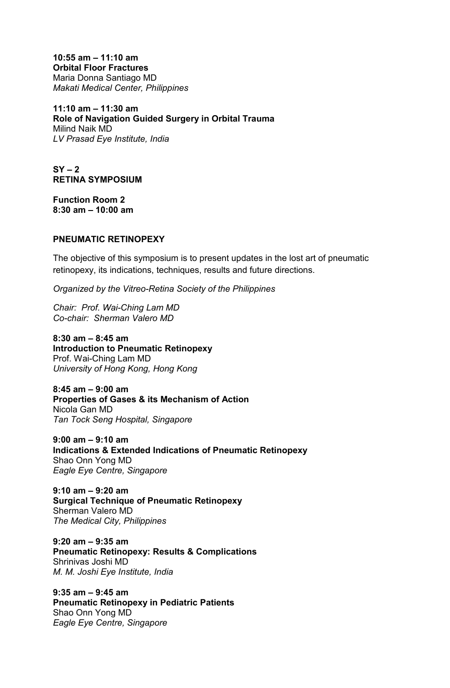**10:55 am – 11:10 am Orbital Floor Fractures**  Maria Donna Santiago MD *Makati Medical Center, Philippines* 

**11:10 am – 11:30 am Role of Navigation Guided Surgery in Orbital Trauma** Milind Naik MD *LV Prasad Eye Institute, India* 

**SY – 2 RETINA SYMPOSIUM** 

**Function Room 2 8:30 am – 10:00 am** 

## **PNEUMATIC RETINOPEXY**

The objective of this symposium is to present updates in the lost art of pneumatic retinopexy, its indications, techniques, results and future directions.

*Organized by the Vitreo-Retina Society of the Philippines* 

*Chair: Prof. Wai-Ching Lam MD Co-chair: Sherman Valero MD* 

**8:30 am – 8:45 am Introduction to Pneumatic Retinopexy**  Prof. Wai-Ching Lam MD *University of Hong Kong, Hong Kong* 

**8:45 am – 9:00 am Properties of Gases & its Mechanism of Action**  Nicola Gan MD *Tan Tock Seng Hospital, Singapore* 

**9:00 am – 9:10 am Indications & Extended Indications of Pneumatic Retinopexy**  Shao Onn Yong MD *Eagle Eye Centre, Singapore* 

**9:10 am – 9:20 am Surgical Technique of Pneumatic Retinopexy**  Sherman Valero MD *The Medical City, Philippines* 

**9:20 am – 9:35 am Pneumatic Retinopexy: Results & Complications**  Shrinivas Joshi MD *M. M. Joshi Eye Institute, India* 

**9:35 am – 9:45 am Pneumatic Retinopexy in Pediatric Patients**  Shao Onn Yong MD *Eagle Eye Centre, Singapore*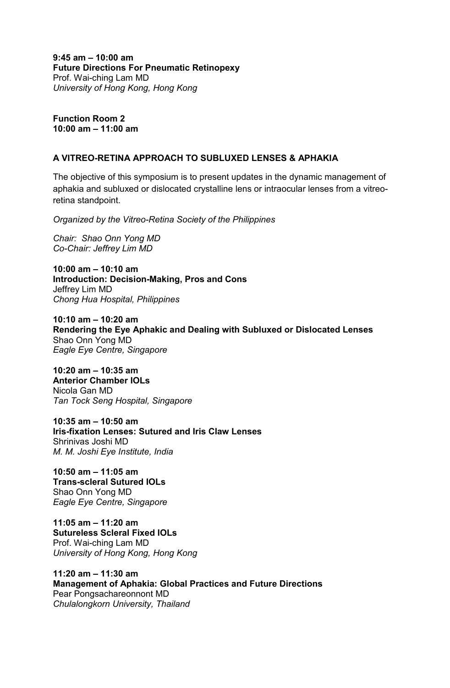**9:45 am – 10:00 am Future Directions For Pneumatic Retinopexy**  Prof. Wai-ching Lam MD *University of Hong Kong, Hong Kong* 

**Function Room 2 10:00 am – 11:00 am** 

## **A VITREO-RETINA APPROACH TO SUBLUXED LENSES & APHAKIA**

The objective of this symposium is to present updates in the dynamic management of aphakia and subluxed or dislocated crystalline lens or intraocular lenses from a vitreoretina standpoint.

*Organized by the Vitreo-Retina Society of the Philippines* 

*Chair: Shao Onn Yong MD Co-Chair: Jeffrey Lim MD* 

**10:00 am – 10:10 am Introduction: Decision-Making, Pros and Cons**  Jeffrey Lim MD *Chong Hua Hospital, Philippines* 

**10:10 am – 10:20 am Rendering the Eye Aphakic and Dealing with Subluxed or Dislocated Lenses**  Shao Onn Yong MD *Eagle Eye Centre, Singapore* 

**10:20 am – 10:35 am Anterior Chamber IOLs**  Nicola Gan MD *Tan Tock Seng Hospital, Singapore* 

**10:35 am – 10:50 am Iris-fixation Lenses: Sutured and Iris Claw Lenses**  Shrinivas Joshi MD *M. M. Joshi Eye Institute, India* 

**10:50 am – 11:05 am Trans-scleral Sutured IOLs**  Shao Onn Yong MD *Eagle Eye Centre, Singapore* 

**11:05 am – 11:20 am Sutureless Scleral Fixed IOLs**  Prof. Wai-ching Lam MD *University of Hong Kong, Hong Kong* 

**11:20 am – 11:30 am Management of Aphakia: Global Practices and Future Directions**  Pear Pongsachareonnont MD *Chulalongkorn University, Thailand*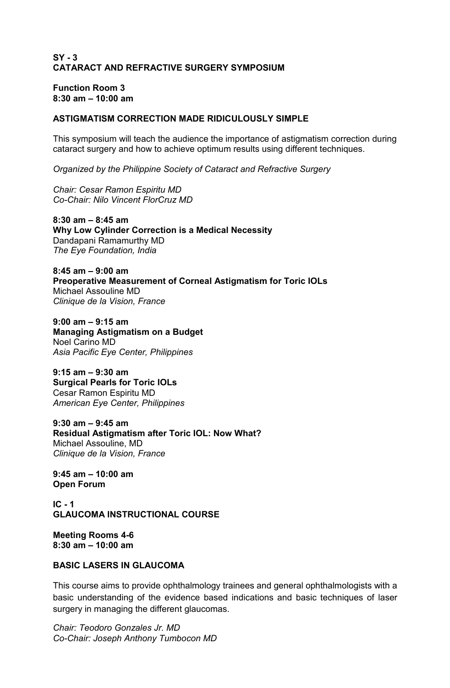# **SY - 3 CATARACT AND REFRACTIVE SURGERY SYMPOSIUM**

# **Function Room 3 8:30 am – 10:00 am**

# **ASTIGMATISM CORRECTION MADE RIDICULOUSLY SIMPLE**

This symposium will teach the audience the importance of astigmatism correction during cataract surgery and how to achieve optimum results using different techniques.

*Organized by the Philippine Society of Cataract and Refractive Surgery* 

*Chair: Cesar Ramon Espiritu MD Co-Chair: Nilo Vincent FlorCruz MD* 

**8:30 am – 8:45 am Why Low Cylinder Correction is a Medical Necessity**  Dandapani Ramamurthy MD *The Eye Foundation, India* 

**8:45 am – 9:00 am Preoperative Measurement of Corneal Astigmatism for Toric IOLs**  Michael Assouline MD *Clinique de la Vision, France* 

**9:00 am – 9:15 am Managing Astigmatism on a Budget**  Noel Carino MD *Asia Pacific Eye Center, Philippines* 

**9:15 am – 9:30 am Surgical Pearls for Toric IOLs**  Cesar Ramon Espiritu MD *American Eye Center, Philippines* 

**9:30 am – 9:45 am Residual Astigmatism after Toric IOL: Now What?**  Michael Assouline, MD *Clinique de la Vision, France* 

**9:45 am – 10:00 am Open Forum** 

**IC - 1 GLAUCOMA INSTRUCTIONAL COURSE** 

**Meeting Rooms 4-6 8:30 am – 10:00 am** 

# **BASIC LASERS IN GLAUCOMA**

This course aims to provide ophthalmology trainees and general ophthalmologists with a basic understanding of the evidence based indications and basic techniques of laser surgery in managing the different glaucomas.

*Chair: Teodoro Gonzales Jr. MD Co-Chair: Joseph Anthony Tumbocon MD*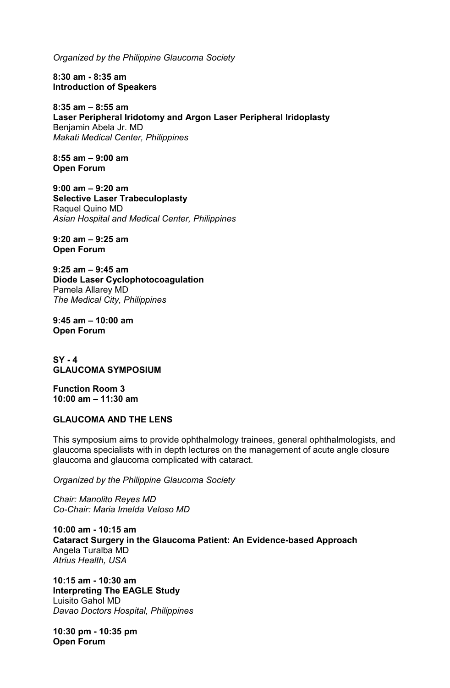*Organized by the Philippine Glaucoma Society* 

**8:30 am - 8:35 am Introduction of Speakers** 

**8:35 am – 8:55 am Laser Peripheral Iridotomy and Argon Laser Peripheral Iridoplasty**  Benjamin Abela Jr. MD *Makati Medical Center, Philippines* 

**8:55 am – 9:00 am Open Forum** 

**9:00 am – 9:20 am Selective Laser Trabeculoplasty**  Raquel Quino MD *Asian Hospital and Medical Center, Philippines* 

**9:20 am – 9:25 am Open Forum** 

**9:25 am – 9:45 am Diode Laser Cyclophotocoagulation**  Pamela Allarey MD *The Medical City, Philippines* 

**9:45 am – 10:00 am Open Forum** 

**SY - 4 GLAUCOMA SYMPOSIUM** 

**Function Room 3 10:00 am – 11:30 am** 

## **GLAUCOMA AND THE LENS**

This symposium aims to provide ophthalmology trainees, general ophthalmologists, and glaucoma specialists with in depth lectures on the management of acute angle closure glaucoma and glaucoma complicated with cataract.

*Organized by the Philippine Glaucoma Society* 

*Chair: Manolito Reyes MD Co-Chair: Maria Imelda Veloso MD* 

**10:00 am - 10:15 am Cataract Surgery in the Glaucoma Patient: An Evidence-based Approach**  Angela Turalba MD *Atrius Health, USA* 

**10:15 am - 10:30 am Interpreting The EAGLE Study**  Luisito Gahol MD *Davao Doctors Hospital, Philippines* 

**10:30 pm - 10:35 pm Open Forum**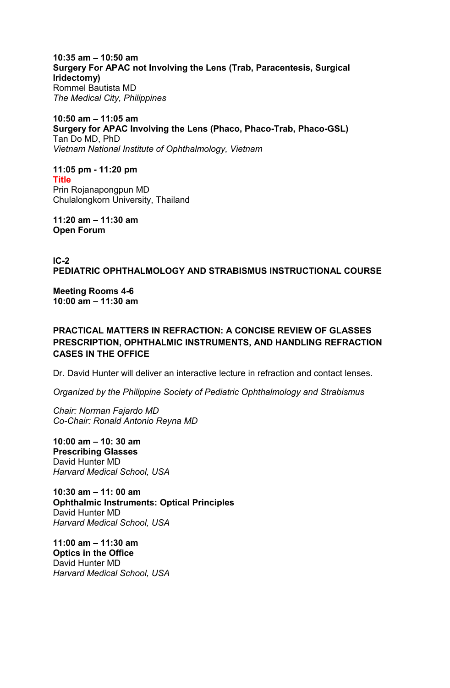**10:35 am – 10:50 am Surgery For APAC not Involving the Lens (Trab, Paracentesis, Surgical Iridectomy)**  Rommel Bautista MD *The Medical City, Philippines* 

**10:50 am – 11:05 am Surgery for APAC Involving the Lens (Phaco, Phaco-Trab, Phaco-GSL)**  Tan Do MD, PhD *Vietnam National Institute of Ophthalmology, Vietnam* 

**11:05 pm - 11:20 pm Title**  Prin Rojanapongpun MD Chulalongkorn University, Thailand

**11:20 am – 11:30 am Open Forum** 

**IC-2 PEDIATRIC OPHTHALMOLOGY AND STRABISMUS INSTRUCTIONAL COURSE**

**Meeting Rooms 4-6 10:00 am – 11:30 am** 

**PRACTICAL MATTERS IN REFRACTION: A CONCISE REVIEW OF GLASSES PRESCRIPTION, OPHTHALMIC INSTRUMENTS, AND HANDLING REFRACTION CASES IN THE OFFICE**

Dr. David Hunter will deliver an interactive lecture in refraction and contact lenses.

*Organized by the Philippine Society of Pediatric Ophthalmology and Strabismus*

*Chair: Norman Fajardo MD Co-Chair: Ronald Antonio Reyna MD*

**10:00 am – 10: 30 am Prescribing Glasses** David Hunter MD *Harvard Medical School, USA*

**10:30 am – 11: 00 am Ophthalmic Instruments: Optical Principles** David Hunter MD *Harvard Medical School, USA*

**11:00 am – 11:30 am Optics in the Office** David Hunter MD *Harvard Medical School, USA*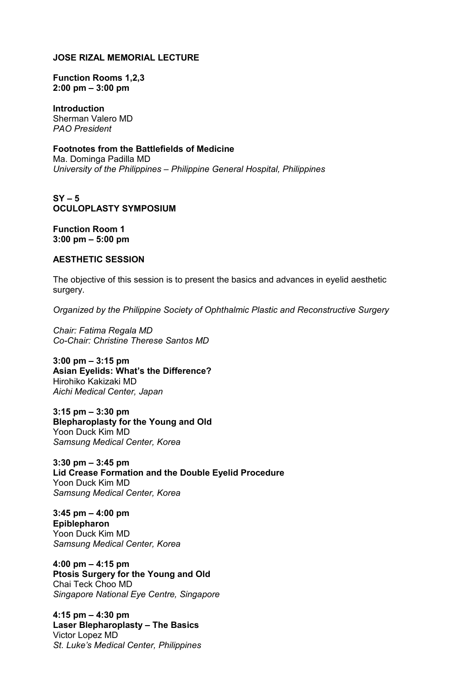# **JOSE RIZAL MEMORIAL LECTURE**

## **Function Rooms 1,2,3 2:00 pm – 3:00 pm**

**Introduction**  Sherman Valero MD *PAO President* 

# **Footnotes from the Battlefields of Medicine**

Ma. Dominga Padilla MD *University of the Philippines – Philippine General Hospital, Philippines* 

## **SY – 5 OCULOPLASTY SYMPOSIUM**

**Function Room 1 3:00 pm – 5:00 pm** 

## **AESTHETIC SESSION**

The objective of this session is to present the basics and advances in eyelid aesthetic surgery.

*Organized by the Philippine Society of Ophthalmic Plastic and Reconstructive Surgery*

*Chair: Fatima Regala MD Co-Chair: Christine Therese Santos MD*

**3:00 pm – 3:15 pm Asian Eyelids: What's the Difference?**  Hirohiko Kakizaki MD *Aichi Medical Center, Japan*

**3:15 pm – 3:30 pm Blepharoplasty for the Young and Old**  Yoon Duck Kim MD *Samsung Medical Center, Korea*

**3:30 pm – 3:45 pm Lid Crease Formation and the Double Eyelid Procedure**  Yoon Duck Kim MD *Samsung Medical Center, Korea*

**3:45 pm – 4:00 pm Epiblepharon**  Yoon Duck Kim MD *Samsung Medical Center, Korea* 

**4:00 pm – 4:15 pm Ptosis Surgery for the Young and Old**  Chai Teck Choo MD *Singapore National Eye Centre, Singapore*

**4:15 pm – 4:30 pm Laser Blepharoplasty – The Basics**  Victor Lopez MD *St. Luke's Medical Center, Philippines*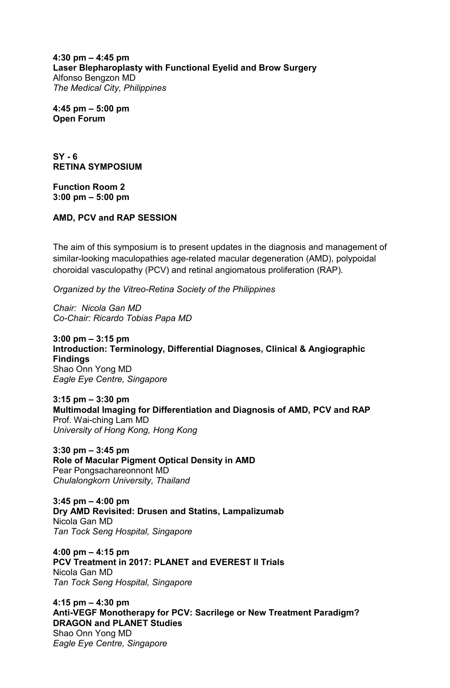**4:30 pm – 4:45 pm Laser Blepharoplasty with Functional Eyelid and Brow Surgery**  Alfonso Bengzon MD *The Medical City, Philippines* 

**4:45 pm – 5:00 pm Open Forum** 

**SY - 6 RETINA SYMPOSIUM** 

**Function Room 2 3:00 pm – 5:00 pm** 

## **AMD, PCV and RAP SESSION**

The aim of this symposium is to present updates in the diagnosis and management of similar-looking maculopathies age-related macular degeneration (AMD), polypoidal choroidal vasculopathy (PCV) and retinal angiomatous proliferation (RAP).

*Organized by the Vitreo-Retina Society of the Philippines* 

*Chair: Nicola Gan MD Co-Chair: Ricardo Tobias Papa MD* 

**3:00 pm – 3:15 pm Introduction: Terminology, Differential Diagnoses, Clinical & Angiographic Findings**  Shao Onn Yong MD *Eagle Eye Centre, Singapore* 

**3:15 pm – 3:30 pm Multimodal Imaging for Differentiation and Diagnosis of AMD, PCV and RAP**  Prof. Wai-ching Lam MD *University of Hong Kong, Hong Kong* 

**3:30 pm – 3:45 pm Role of Macular Pigment Optical Density in AMD**  Pear Pongsachareonnont MD *Chulalongkorn University, Thailand* 

**3:45 pm – 4:00 pm Dry AMD Revisited: Drusen and Statins, Lampalizumab** Nicola Gan MD *Tan Tock Seng Hospital, Singapore* 

**4:00 pm – 4:15 pm PCV Treatment in 2017: PLANET and EVEREST II Trials**  Nicola Gan MD *Tan Tock Seng Hospital, Singapore* 

**4:15 pm – 4:30 pm Anti-VEGF Monotherapy for PCV: Sacrilege or New Treatment Paradigm? DRAGON and PLANET Studies**  Shao Onn Yong MD *Eagle Eye Centre, Singapore*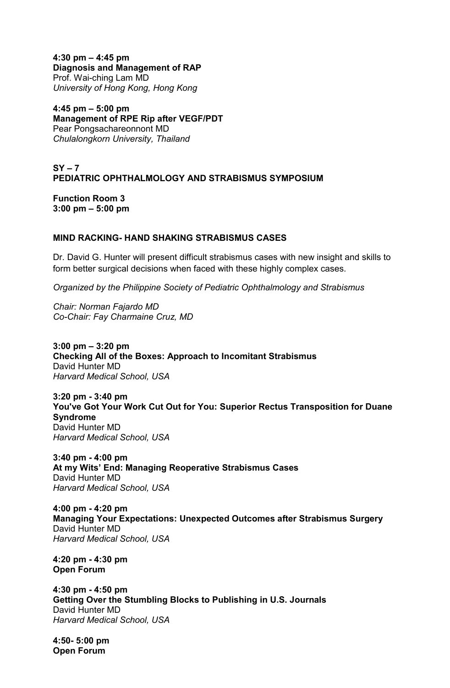**4:30 pm – 4:45 pm Diagnosis and Management of RAP**  Prof. Wai-ching Lam MD *University of Hong Kong, Hong Kong* 

**4:45 pm – 5:00 pm Management of RPE Rip after VEGF/PDT**  Pear Pongsachareonnont MD *Chulalongkorn University, Thailand* 

**SY – 7 PEDIATRIC OPHTHALMOLOGY AND STRABISMUS SYMPOSIUM** 

**Function Room 3 3:00 pm – 5:00 pm**

## **MIND RACKING- HAND SHAKING STRABISMUS CASES**

Dr. David G. Hunter will present difficult strabismus cases with new insight and skills to form better surgical decisions when faced with these highly complex cases.

*Organized by the Philippine Society of Pediatric Ophthalmology and Strabismus*

*Chair: Norman Fajardo MD Co-Chair: Fay Charmaine Cruz, MD*

**3:00 pm – 3:20 pm Checking All of the Boxes: Approach to Incomitant Strabismus** David Hunter MD *Harvard Medical School, USA*

**3:20 pm - 3:40 pm You've Got Your Work Cut Out for You: Superior Rectus Transposition for Duane Syndrome** David Hunter MD *Harvard Medical School, USA*

**3:40 pm - 4:00 pm At my Wits' End: Managing Reoperative Strabismus Cases** David Hunter MD *Harvard Medical School, USA*

**4:00 pm - 4:20 pm Managing Your Expectations: Unexpected Outcomes after Strabismus Surgery** David Hunter MD *Harvard Medical School, USA*

**4:20 pm - 4:30 pm Open Forum**

**4:30 pm - 4:50 pm Getting Over the Stumbling Blocks to Publishing in U.S. Journals** David Hunter MD *Harvard Medical School, USA*

**4:50- 5:00 pm Open Forum**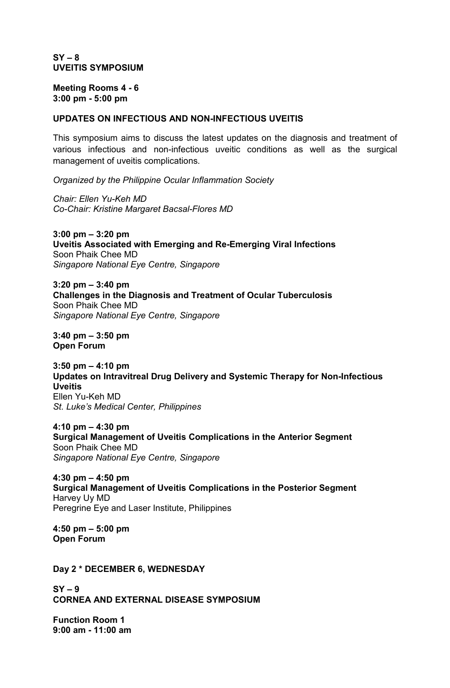## **SY – 8 UVEITIS SYMPOSIUM**

**Meeting Rooms 4 - 6 3:00 pm - 5:00 pm** 

## **UPDATES ON INFECTIOUS AND NON-INFECTIOUS UVEITIS**

This symposium aims to discuss the latest updates on the diagnosis and treatment of various infectious and non-infectious uveitic conditions as well as the surgical management of uveitis complications.

*Organized by the Philippine Ocular Inflammation Society*

*Chair: Ellen Yu-Keh MD Co-Chair: Kristine Margaret Bacsal-Flores MD* 

**3:00 pm – 3:20 pm Uveitis Associated with Emerging and Re-Emerging Viral Infections** Soon Phaik Chee MD *Singapore National Eye Centre, Singapore* 

**3:20 pm – 3:40 pm Challenges in the Diagnosis and Treatment of Ocular Tuberculosis**  Soon Phaik Chee MD *Singapore National Eye Centre, Singapore* 

**3:40 pm – 3:50 pm Open Forum** 

**3:50 pm – 4:10 pm Updates on Intravitreal Drug Delivery and Systemic Therapy for Non-Infectious Uveitis**  Ellen Yu-Keh MD *St. Luke's Medical Center, Philippines*

**4:10 pm – 4:30 pm Surgical Management of Uveitis Complications in the Anterior Segment**  Soon Phaik Chee MD *Singapore National Eye Centre, Singapore*

**4:30 pm – 4:50 pm Surgical Management of Uveitis Complications in the Posterior Segment** Harvey Uy MD Peregrine Eye and Laser Institute, Philippines

**4:50 pm – 5:00 pm Open Forum**

**Day 2 \* DECEMBER 6, WEDNESDAY** 

**SY – 9 CORNEA AND EXTERNAL DISEASE SYMPOSIUM** 

**Function Room 1 9:00 am - 11:00 am**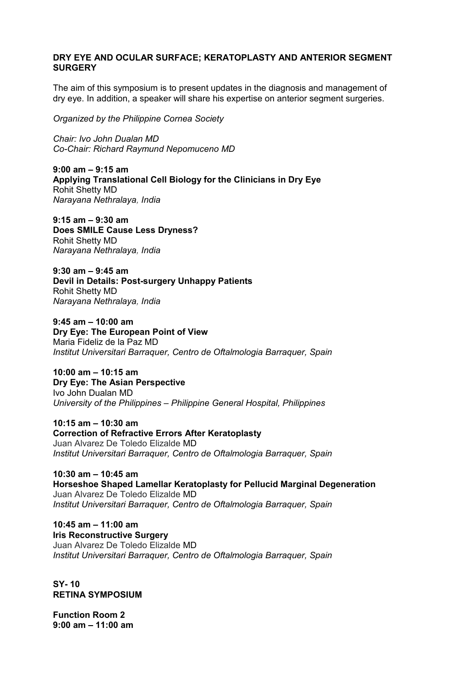# **DRY EYE AND OCULAR SURFACE; KERATOPLASTY AND ANTERIOR SEGMENT SURGERY**

The aim of this symposium is to present updates in the diagnosis and management of dry eye. In addition, a speaker will share his expertise on anterior segment surgeries.

*Organized by the Philippine Cornea Society* 

*Chair: Ivo John Dualan MD Co-Chair: Richard Raymund Nepomuceno MD* 

**9:00 am – 9:15 am Applying Translational Cell Biology for the Clinicians in Dry Eye** Rohit Shetty MD *Narayana Nethralaya, India* 

**9:15 am – 9:30 am Does SMILE Cause Less Dryness?** Rohit Shetty MD *Narayana Nethralaya, India* 

**9:30 am – 9:45 am Devil in Details: Post-surgery Unhappy Patients** Rohit Shetty MD *Narayana Nethralaya, India* 

**9:45 am – 10:00 am Dry Eye: The European Point of View** Maria Fideliz de la Paz MD *Institut Universitari Barraquer, Centro de Oftalmologia Barraquer, Spain* 

**10:00 am – 10:15 am Dry Eye: The Asian Perspective** Ivo John Dualan MD *University of the Philippines – Philippine General Hospital, Philippines* 

**10:15 am – 10:30 am Correction of Refractive Errors After Keratoplasty**  Juan Alvarez De Toledo Elizalde MD *Institut Universitari Barraquer, Centro de Oftalmologia Barraquer, Spain* 

**10:30 am – 10:45 am Horseshoe Shaped Lamellar Keratoplasty for Pellucid Marginal Degeneration**  Juan Alvarez De Toledo Elizalde MD *Institut Universitari Barraquer, Centro de Oftalmologia Barraquer, Spain* 

**10:45 am – 11:00 am Iris Reconstructive Surgery**  Juan Alvarez De Toledo Elizalde MD *Institut Universitari Barraquer, Centro de Oftalmologia Barraquer, Spain* 

**SY- 10 RETINA SYMPOSIUM** 

**Function Room 2 9:00 am – 11:00 am**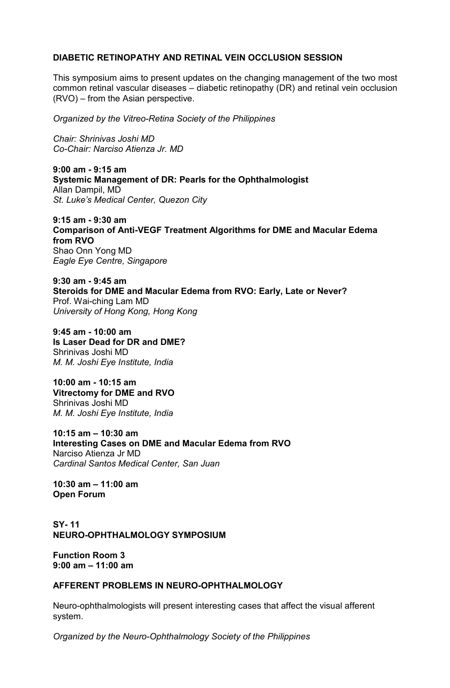# **DIABETIC RETINOPATHY AND RETINAL VEIN OCCLUSION SESSION**

This symposium aims to present updates on the changing management of the two most common retinal vascular diseases – diabetic retinopathy (DR) and retinal vein occlusion (RVO) – from the Asian perspective.

*Organized by the Vitreo-Retina Society of the Philippines* 

*Chair: Shrinivas Joshi MD Co-Chair: Narciso Atienza Jr. MD* 

**9:00 am - 9:15 am Systemic Management of DR: Pearls for the Ophthalmologist**  Allan Dampil, MD *St. Luke's Medical Center, Quezon City* 

**9:15 am - 9:30 am Comparison of Anti-VEGF Treatment Algorithms for DME and Macular Edema from RVO**  Shao Onn Yong MD *Eagle Eye Centre, Singapore* 

**9:30 am - 9:45 am Steroids for DME and Macular Edema from RVO: Early, Late or Never?**  Prof. Wai-ching Lam MD *University of Hong Kong, Hong Kong* 

**9:45 am - 10:00 am Is Laser Dead for DR and DME?**  Shrinivas Joshi MD *M. M. Joshi Eye Institute, India* 

**10:00 am - 10:15 am Vitrectomy for DME and RVO**  Shrinivas Joshi MD *M. M. Joshi Eye Institute, India* 

**10:15 am – 10:30 am Interesting Cases on DME and Macular Edema from RVO** Narciso Atienza Jr MD *Cardinal Santos Medical Center, San Juan* 

**10:30 am – 11:00 am Open Forum** 

**SY- 11 NEURO-OPHTHALMOLOGY SYMPOSIUM** 

**Function Room 3 9:00 am – 11:00 am** 

## **AFFERENT PROBLEMS IN NEURO-OPHTHALMOLOGY**

Neuro-ophthalmologists will present interesting cases that affect the visual afferent system.

*Organized by the Neuro-Ophthalmology Society of the Philippines*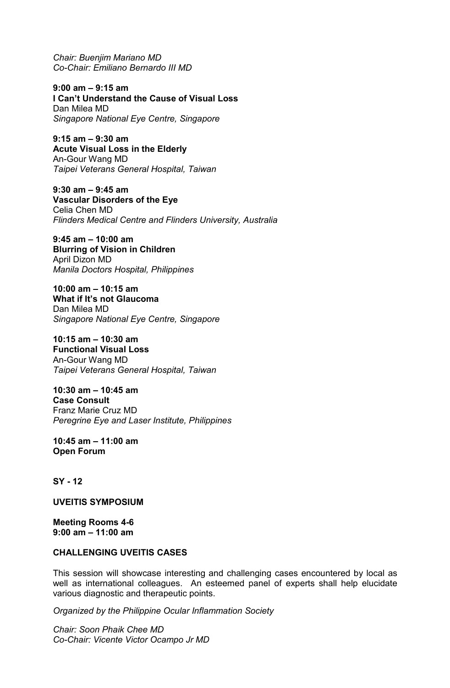*Chair: Buenjim Mariano MD Co-Chair: Emiliano Bernardo III MD* 

**9:00 am – 9:15 am I Can't Understand the Cause of Visual Loss**  Dan Milea MD *Singapore National Eye Centre, Singapore*

**9:15 am – 9:30 am Acute Visual Loss in the Elderly**  An-Gour Wang MD *Taipei Veterans General Hospital, Taiwan*

**9:30 am – 9:45 am Vascular Disorders of the Eye**  Celia Chen MD *Flinders Medical Centre and Flinders University, Australia* 

**9:45 am – 10:00 am Blurring of Vision in Children**  April Dizon MD *Manila Doctors Hospital, Philippines* 

**10:00 am – 10:15 am What if It's not Glaucoma**  Dan Milea MD *Singapore National Eye Centre, Singapore*

**10:15 am – 10:30 am Functional Visual Loss**  An-Gour Wang MD *Taipei Veterans General Hospital, Taiwan*

**10:30 am – 10:45 am Case Consult**  Franz Marie Cruz MD *Peregrine Eye and Laser Institute, Philippines* 

**10:45 am – 11:00 am Open Forum** 

## **SY - 12**

**UVEITIS SYMPOSIUM** 

**Meeting Rooms 4-6 9:00 am – 11:00 am** 

## **CHALLENGING UVEITIS CASES**

This session will showcase interesting and challenging cases encountered by local as well as international colleagues. An esteemed panel of experts shall help elucidate various diagnostic and therapeutic points.

*Organized by the Philippine Ocular Inflammation Society*

*Chair: Soon Phaik Chee MD Co-Chair: Vicente Victor Ocampo Jr MD*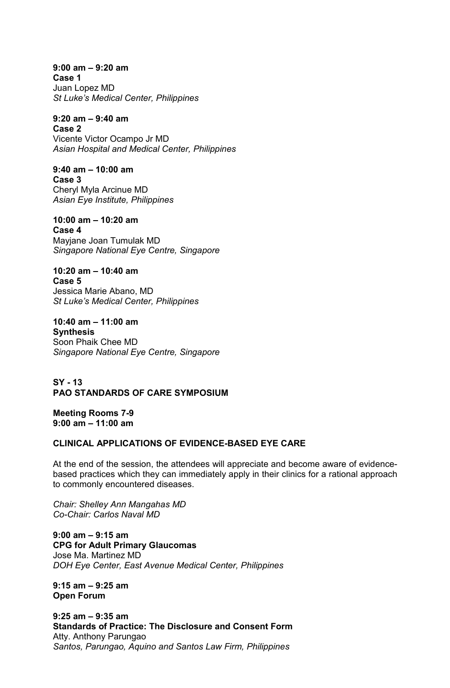**9:00 am – 9:20 am Case 1**  Juan Lopez MD *St Luke's Medical Center, Philippines*

**9:20 am – 9:40 am Case 2** 

Vicente Victor Ocampo Jr MD *Asian Hospital and Medical Center, Philippines*

**9:40 am – 10:00 am Case 3** Cheryl Myla Arcinue MD *Asian Eye Institute, Philippines* 

**10:00 am – 10:20 am Case 4**  Mayjane Joan Tumulak MD *Singapore National Eye Centre, Singapore*

**10:20 am – 10:40 am Case 5**  Jessica Marie Abano, MD *St Luke's Medical Center, Philippines*

**10:40 am – 11:00 am Synthesis**  Soon Phaik Chee MD *Singapore National Eye Centre, Singapore*

**SY - 13 PAO STANDARDS OF CARE SYMPOSIUM** 

**Meeting Rooms 7-9 9:00 am – 11:00 am** 

# **CLINICAL APPLICATIONS OF EVIDENCE-BASED EYE CARE**

At the end of the session, the attendees will appreciate and become aware of evidencebased practices which they can immediately apply in their clinics for a rational approach to commonly encountered diseases.

*Chair: Shelley Ann Mangahas MD Co-Chair: Carlos Naval MD* 

**9:00 am – 9:15 am CPG for Adult Primary Glaucomas**  Jose Ma. Martinez MD *DOH Eye Center, East Avenue Medical Center, Philippines*

**9:15 am – 9:25 am Open Forum** 

**9:25 am – 9:35 am Standards of Practice: The Disclosure and Consent Form**  Atty. Anthony Parungao *Santos, Parungao, Aquino and Santos Law Firm, Philippines*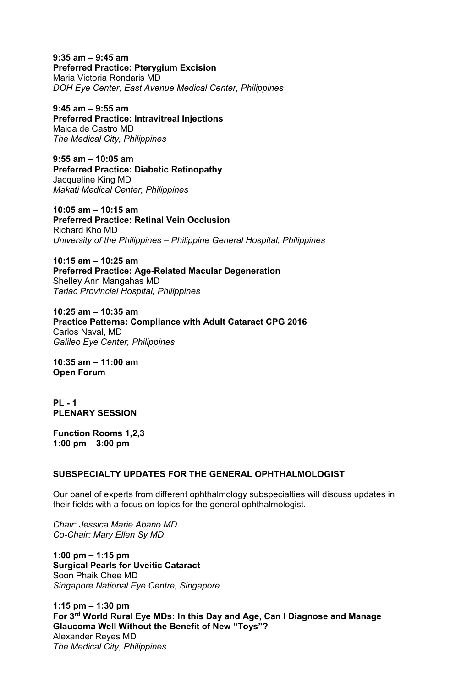**9:35 am – 9:45 am Preferred Practice: Pterygium Excision**  Maria Victoria Rondaris MD *DOH Eye Center, East Avenue Medical Center, Philippines*

**9:45 am – 9:55 am Preferred Practice: Intravitreal Injections**  Maida de Castro MD *The Medical City, Philippines* 

**9:55 am – 10:05 am Preferred Practice: Diabetic Retinopathy**  Jacqueline King MD *Makati Medical Center, Philippines* 

**10:05 am – 10:15 am Preferred Practice: Retinal Vein Occlusion**  Richard Kho MD *University of the Philippines – Philippine General Hospital, Philippines* 

**10:15 am – 10:25 am Preferred Practice: Age-Related Macular Degeneration**  Shelley Ann Mangahas MD *Tarlac Provincial Hospital, Philippines* 

**10:25 am – 10:35 am Practice Patterns: Compliance with Adult Cataract CPG 2016**  Carlos Naval, MD *Galileo Eye Center, Philippines* 

**10:35 am – 11:00 am Open Forum** 

**PL - 1 PLENARY SESSION**

**Function Rooms 1,2,3 1:00 pm – 3:00 pm** 

# **SUBSPECIALTY UPDATES FOR THE GENERAL OPHTHALMOLOGIST**

Our panel of experts from different ophthalmology subspecialties will discuss updates in their fields with a focus on topics for the general ophthalmologist.

*Chair: Jessica Marie Abano MD Co-Chair: Mary Ellen Sy MD* 

**1:00 pm – 1:15 pm Surgical Pearls for Uveitic Cataract**  Soon Phaik Chee MD *Singapore National Eye Centre, Singapore* 

**1:15 pm – 1:30 pm For 3rd World Rural Eye MDs: In this Day and Age, Can I Diagnose and Manage Glaucoma Well Without the Benefit of New "Toys"?**  Alexander Reyes MD *The Medical City, Philippines*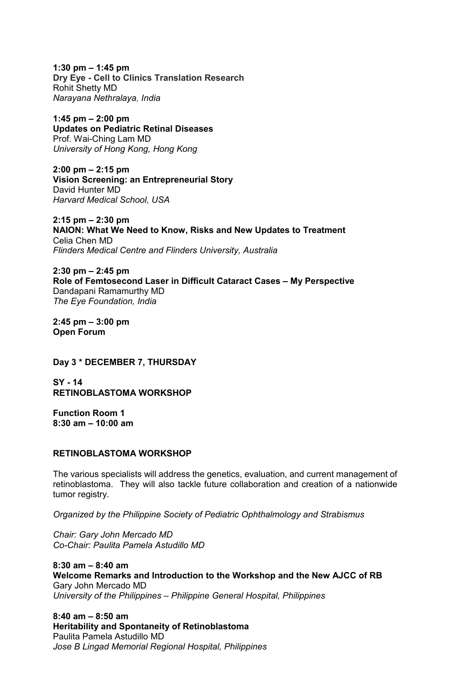**1:30 pm – 1:45 pm Dry Eye - Cell to Clinics Translation Research**  Rohit Shetty MD *Narayana Nethralaya, India* 

**1:45 pm – 2:00 pm Updates on Pediatric Retinal Diseases**  Prof. Wai-Ching Lam MD *University of Hong Kong, Hong Kong* 

**2:00 pm – 2:15 pm Vision Screening: an Entrepreneurial Story** David Hunter MD *Harvard Medical School, USA* 

**2:15 pm – 2:30 pm NAION: What We Need to Know, Risks and New Updates to Treatment**  Celia Chen MD *Flinders Medical Centre and Flinders University, Australia* 

**2:30 pm – 2:45 pm Role of Femtosecond Laser in Difficult Cataract Cases – My Perspective**  Dandapani Ramamurthy MD *The Eye Foundation, India* 

**2:45 pm – 3:00 pm Open Forum** 

**Day 3 \* DECEMBER 7, THURSDAY** 

**SY - 14 RETINOBLASTOMA WORKSHOP**

**Function Room 1 8:30 am – 10:00 am** 

## **RETINOBLASTOMA WORKSHOP**

The various specialists will address the genetics, evaluation, and current management of retinoblastoma. They will also tackle future collaboration and creation of a nationwide tumor registry.

*Organized by the Philippine Society of Pediatric Ophthalmology and Strabismus* 

*Chair: Gary John Mercado MD Co-Chair: Paulita Pamela Astudillo MD*

**8:30 am – 8:40 am Welcome Remarks and Introduction to the Workshop and the New AJCC of RB** Gary John Mercado MD *University of the Philippines – Philippine General Hospital, Philippines* 

**8:40 am – 8:50 am Heritability and Spontaneity of Retinoblastoma**  Paulita Pamela Astudillo MD *Jose B Lingad Memorial Regional Hospital, Philippines*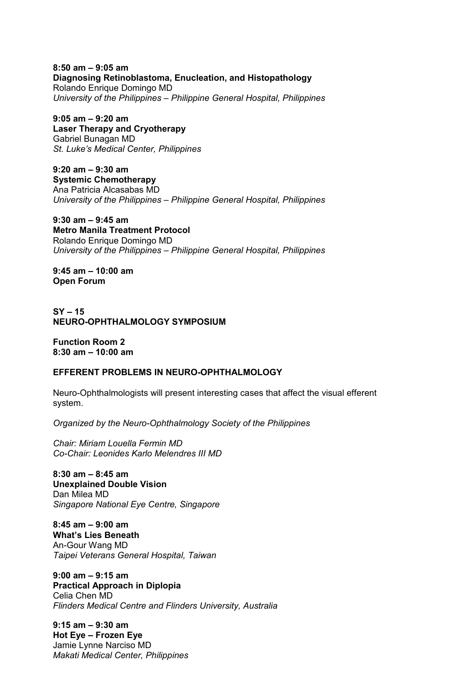**8:50 am – 9:05 am Diagnosing Retinoblastoma, Enucleation, and Histopathology**  Rolando Enrique Domingo MD *University of the Philippines – Philippine General Hospital, Philippines* 

**9:05 am – 9:20 am Laser Therapy and Cryotherapy**  Gabriel Bunagan MD *St. Luke's Medical Center, Philippines* 

**9:20 am – 9:30 am Systemic Chemotherapy**  Ana Patricia Alcasabas MD *University of the Philippines – Philippine General Hospital, Philippines* 

**9:30 am – 9:45 am Metro Manila Treatment Protocol**  Rolando Enrique Domingo MD *University of the Philippines – Philippine General Hospital, Philippines* 

**9:45 am – 10:00 am Open Forum** 

**SY – 15 NEURO-OPHTHALMOLOGY SYMPOSIUM** 

**Function Room 2 8:30 am – 10:00 am** 

## **EFFERENT PROBLEMS IN NEURO-OPHTHALMOLOGY**

Neuro-Ophthalmologists will present interesting cases that affect the visual efferent system.

*Organized by the Neuro-Ophthalmology Society of the Philippines* 

*Chair: Miriam Louella Fermin MD Co-Chair: Leonides Karlo Melendres III MD* 

**8:30 am – 8:45 am Unexplained Double Vision**  Dan Milea MD *Singapore National Eye Centre, Singapore*

**8:45 am – 9:00 am What's Lies Beneath**  An-Gour Wang MD *Taipei Veterans General Hospital, Taiwan*

**9:00 am – 9:15 am Practical Approach in Diplopia**  Celia Chen MD *Flinders Medical Centre and Flinders University, Australia* 

**9:15 am – 9:30 am Hot Eye – Frozen Eye**  Jamie Lynne Narciso MD *Makati Medical Center, Philippines*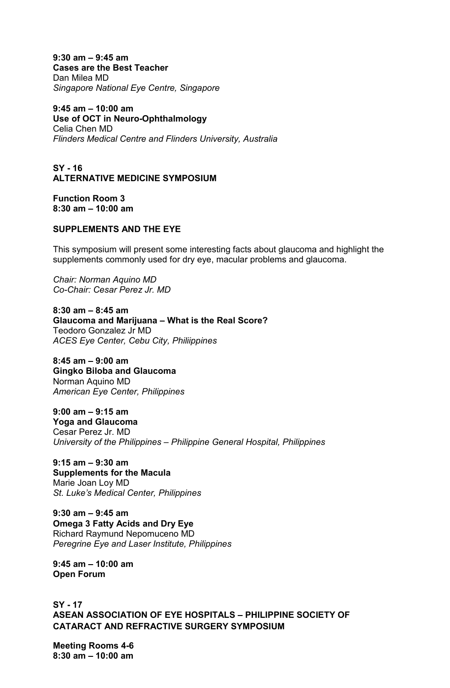**9:30 am – 9:45 am Cases are the Best Teacher**  Dan Milea MD *Singapore National Eye Centre, Singapore*

**9:45 am – 10:00 am Use of OCT in Neuro-Ophthalmology**  Celia Chen MD *Flinders Medical Centre and Flinders University, Australia* 

**SY - 16 ALTERNATIVE MEDICINE SYMPOSIUM** 

**Function Room 3 8:30 am – 10:00 am** 

## **SUPPLEMENTS AND THE EYE**

This symposium will present some interesting facts about glaucoma and highlight the supplements commonly used for dry eye, macular problems and glaucoma.

*Chair: Norman Aquino MD Co-Chair: Cesar Perez Jr. MD* 

**8:30 am – 8:45 am Glaucoma and Marijuana – What is the Real Score?**  Teodoro Gonzalez Jr MD *ACES Eye Center, Cebu City, Philiippines* 

**8:45 am – 9:00 am Gingko Biloba and Glaucoma**  Norman Aquino MD *American Eye Center, Philippines* 

**9:00 am – 9:15 am Yoga and Glaucoma**  Cesar Perez Jr. MD *University of the Philippines – Philippine General Hospital, Philippines* 

**9:15 am – 9:30 am Supplements for the Macula**  Marie Joan Loy MD *St. Luke's Medical Center, Philippines* 

**9:30 am – 9:45 am Omega 3 Fatty Acids and Dry Eye**  Richard Raymund Nepomuceno MD *Peregrine Eye and Laser Institute, Philippines* 

**9:45 am – 10:00 am Open Forum** 

**SY - 17 ASEAN ASSOCIATION OF EYE HOSPITALS – PHILIPPINE SOCIETY OF CATARACT AND REFRACTIVE SURGERY SYMPOSIUM** 

**Meeting Rooms 4-6 8:30 am – 10:00 am**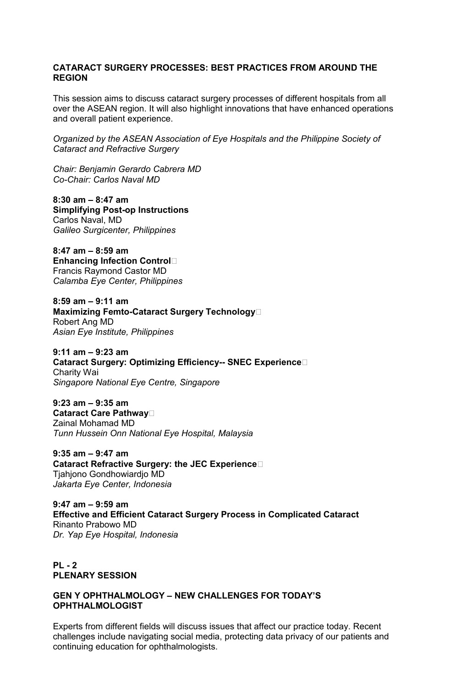# **CATARACT SURGERY PROCESSES: BEST PRACTICES FROM AROUND THE REGION**

This session aims to discuss cataract surgery processes of different hospitals from all over the ASEAN region. It will also highlight innovations that have enhanced operations and overall patient experience.

*Organized by the ASEAN Association of Eye Hospitals and the Philippine Society of Cataract and Refractive Surgery* 

*Chair: Benjamin Gerardo Cabrera MD Co-Chair: Carlos Naval MD* 

**8:30 am – 8:47 am Simplifying Post-op Instructions**  Carlos Naval, MD *Galileo Surgicenter, Philippines* 

**8:47 am – 8:59 am Enhancing Infection ControlP**  Francis Raymond Castor MD *Calamba Eye Center, Philippines* 

**8:59 am – 9:11 am Maximizing Femto-Cataract Surgery TechnologyP**  Robert Ang MD *Asian Eye Institute, Philippines* 

**9:11 am – 9:23 am Cataract Surgery: Optimizing Efficiency-- SNEC ExperienceP**  Charity Wai *Singapore National Eye Centre, Singapore* 

**9:23 am – 9:35 am Cataract Care PathwayP**  Zainal Mohamad MD *Tunn Hussein Onn National Eye Hospital, Malaysia* 

**9:35 am – 9:47 am Cataract Refractive Surgery: the JEC ExperienceP**  Tjahjono Gondhowiardjo MD *Jakarta Eye Center, Indonesia* 

**9:47 am – 9:59 am Effective and Efficient Cataract Surgery Process in Complicated Cataract**  Rinanto Prabowo MD *Dr. Yap Eye Hospital, Indonesia* 

**PL - 2 PLENARY SESSION** 

## **GEN Y OPHTHALMOLOGY – NEW CHALLENGES FOR TODAY'S OPHTHALMOLOGIST**

Experts from different fields will discuss issues that affect our practice today. Recent challenges include navigating social media, protecting data privacy of our patients and continuing education for ophthalmologists.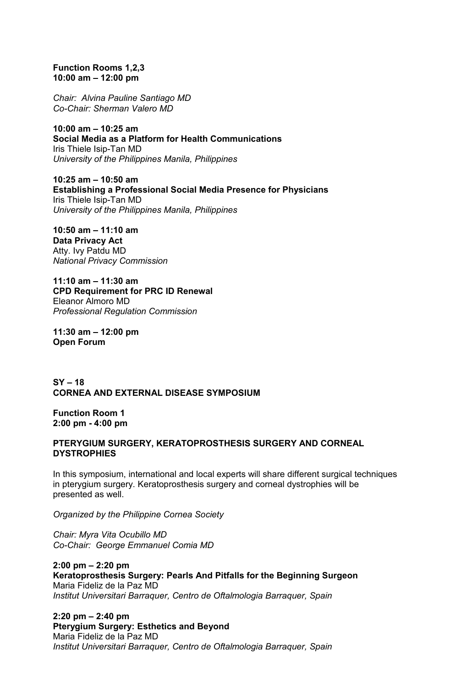**Function Rooms 1,2,3 10:00 am – 12:00 pm** 

*Chair: Alvina Pauline Santiago MD Co-Chair: Sherman Valero MD* 

**10:00 am – 10:25 am Social Media as a Platform for Health Communications**  Iris Thiele Isip-Tan MD *University of the Philippines Manila, Philippines* 

**10:25 am – 10:50 am Establishing a Professional Social Media Presence for Physicians**  Iris Thiele Isip-Tan MD *University of the Philippines Manila, Philippines* 

**10:50 am – 11:10 am Data Privacy Act**  Atty. Ivy Patdu MD *National Privacy Commission* 

**11:10 am – 11:30 am CPD Requirement for PRC ID Renewal**  Eleanor Almoro MD *Professional Regulation Commission* 

**11:30 am – 12:00 pm Open Forum** 

**SY – 18 CORNEA AND EXTERNAL DISEASE SYMPOSIUM** 

**Function Room 1 2:00 pm - 4:00 pm** 

## **PTERYGIUM SURGERY, KERATOPROSTHESIS SURGERY AND CORNEAL DYSTROPHIES**

In this symposium, international and local experts will share different surgical techniques in pterygium surgery. Keratoprosthesis surgery and corneal dystrophies will be presented as well.

*Organized by the Philippine Cornea Society* 

*Chair: Myra Vita Ocubillo MD Co-Chair: George Emmanuel Comia MD* 

**2:00 pm – 2:20 pm Keratoprosthesis Surgery: Pearls And Pitfalls for the Beginning Surgeon** Maria Fideliz de la Paz MD *Institut Universitari Barraquer, Centro de Oftalmologia Barraquer, Spain* 

**2:20 pm – 2:40 pm Pterygium Surgery: Esthetics and Beyond** Maria Fideliz de la Paz MD *Institut Universitari Barraquer, Centro de Oftalmologia Barraquer, Spain*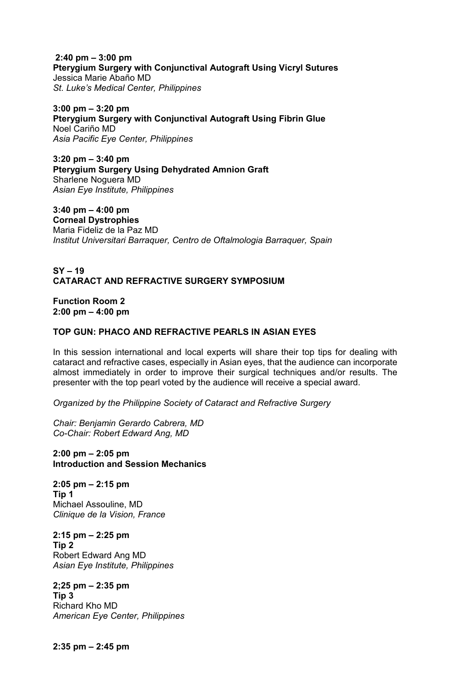**2:40 pm – 3:00 pm Pterygium Surgery with Conjunctival Autograft Using Vicryl Sutures**  Jessica Marie Abaño MD *St. Luke's Medical Center, Philippines* 

**3:00 pm – 3:20 pm Pterygium Surgery with Conjunctival Autograft Using Fibrin Glue** Noel Cariño MD *Asia Pacific Eye Center, Philippines* 

**3:20 pm – 3:40 pm Pterygium Surgery Using Dehydrated Amnion Graft** Sharlene Noguera MD *Asian Eye Institute, Philippines* 

**3:40 pm – 4:00 pm Corneal Dystrophies** Maria Fideliz de la Paz MD *Institut Universitari Barraquer, Centro de Oftalmologia Barraquer, Spain* 

# **SY – 19 CATARACT AND REFRACTIVE SURGERY SYMPOSIUM**

**Function Room 2 2:00 pm – 4:00 pm** 

## **TOP GUN: PHACO AND REFRACTIVE PEARLS IN ASIAN EYES**

In this session international and local experts will share their top tips for dealing with cataract and refractive cases, especially in Asian eyes, that the audience can incorporate almost immediately in order to improve their surgical techniques and/or results. The presenter with the top pearl voted by the audience will receive a special award.

*Organized by the Philippine Society of Cataract and Refractive Surgery* 

*Chair: Benjamin Gerardo Cabrera, MD Co-Chair: Robert Edward Ang, MD* 

**2:00 pm – 2:05 pm Introduction and Session Mechanics** 

**2:05 pm – 2:15 pm Tip 1**  Michael Assouline, MD *Clinique de la Vision, France*

**2:15 pm – 2:25 pm Tip 2**  Robert Edward Ang MD *Asian Eye Institute, Philippines* 

**2;25 pm – 2:35 pm Tip 3**  Richard Kho MD *American Eye Center, Philippines* 

**2:35 pm – 2:45 pm**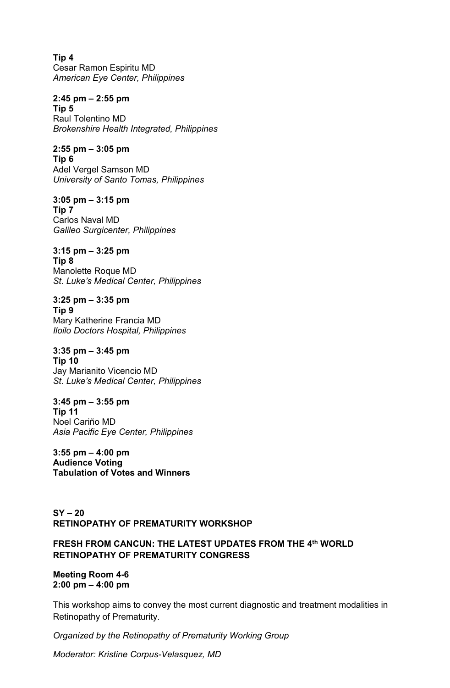**Tip 4**  Cesar Ramon Espiritu MD *American Eye Center, Philippines* 

**2:45 pm – 2:55 pm Tip 5**  Raul Tolentino MD *Brokenshire Health Integrated, Philippines* 

**2:55 pm – 3:05 pm Tip 6**  Adel Vergel Samson MD *University of Santo Tomas, Philippines* 

**3:05 pm – 3:15 pm Tip 7**  Carlos Naval MD *Galileo Surgicenter, Philippines* 

**3:15 pm – 3:25 pm Tip 8**  Manolette Roque MD *St. Luke's Medical Center, Philippines* 

**3:25 pm – 3:35 pm Tip 9**  Mary Katherine Francia MD *Iloilo Doctors Hospital, Philippines* 

**3:35 pm – 3:45 pm Tip 10**  Jay Marianito Vicencio MD *St. Luke's Medical Center, Philippines* 

**3:45 pm – 3:55 pm Tip 11**  Noel Cariño MD *Asia Pacific Eye Center, Philippines* 

**3:55 pm – 4:00 pm Audience Voting Tabulation of Votes and Winners** 

# **SY – 20 RETINOPATHY OF PREMATURITY WORKSHOP**

# **FRESH FROM CANCUN: THE LATEST UPDATES FROM THE 4th WORLD RETINOPATHY OF PREMATURITY CONGRESS**

**Meeting Room 4-6 2:00 pm – 4:00 pm** 

This workshop aims to convey the most current diagnostic and treatment modalities in Retinopathy of Prematurity.

*Organized by the Retinopathy of Prematurity Working Group* 

*Moderator: Kristine Corpus-Velasquez, MD*